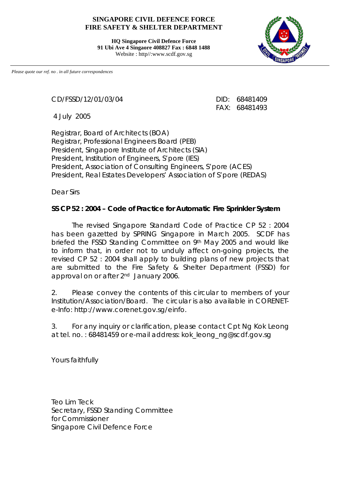## **SINGAPORE CIVIL DEFENCE FORCE FIRE SAFETY & SHELTER DEPARTMENT**

**HQ Singapore Civil Defence Force 91 Ubi Ave 4 Singaore 408827 Fax : 6848 1488** Website : http//:www.scdf.gov.sg



*Please quote our ref. no . in all future correspondences*

CD/FSSD/12/01/03/04 DID: 68481409

4 July 2005

FAX: 68481493

Registrar, Board of Architects (BOA) Registrar, Professional Engineers Board (PEB) President, Singapore Institute of Architects (SIA) President, Institution of Engineers, S'pore (IES) President, Association of Consulting Engineers, S'pore (ACES) President, Real Estates Developers' Association of S'pore (REDAS)

Dear Sirs

## **SS CP 52 : 2004 – Code of Practice for Automatic Fire Sprinkler System**

The revised Singapore Standard Code of Practice CP 52 : 2004 has been gazetted by SPRING Singapore in March 2005. SCDF has briefed the FSSD Standing Committee on 9th May 2005 and would like to inform that, in order not to unduly affect on-going projects, the revised CP 52 : 2004 shall apply to building plans of new projects that are submitted to the Fire Safety & Shelter Department (FSSD) for approval on or after 2<sup>nd</sup> January 2006.

2. Please convey the contents of this circular to members of your Institution/Association/Board.The circular is also available in CORENETe-Info: http://www.corenet.gov.sg/einfo.

3. For any inquiry or clarification, please contact Cpt Ng Kok Leong at tel. no. : 68481459 or e-mail address: kok\_leong\_ng@scdf.gov.sg

Yours faithfully

Teo Lim Teck Secretary, FSSD Standing Committee for Commissioner Singapore Civil Defence Force